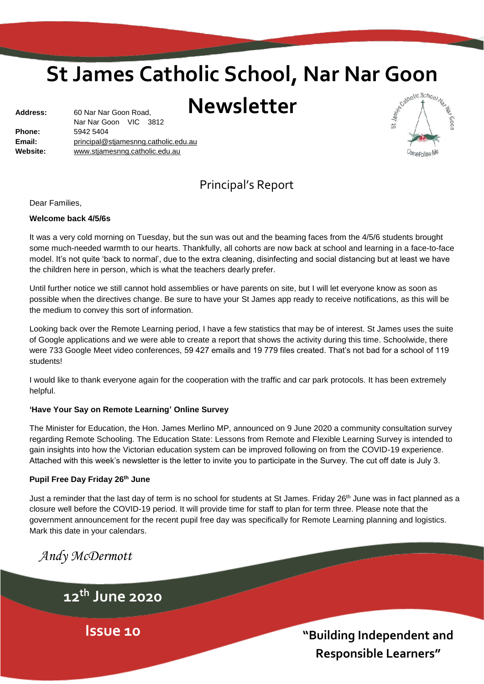# **St James Catholic School, Nar Nar Goon**

## **Newsletter**

| <b>Address:</b> | 60 Nar Nar Goon Road,                |  |  |
|-----------------|--------------------------------------|--|--|
|                 | Nar Nar Goon VIC 3812                |  |  |
| <b>Phone:</b>   | 5942 5404                            |  |  |
| Email:          | principal@stjamesnng.catholic.edu.au |  |  |
| Website:        | www.stjamesnng.catholic.edu.au       |  |  |
|                 |                                      |  |  |



## Principal's Report

Dear Families,

#### **Welcome back 4/5/6s**

It was a very cold morning on Tuesday, but the sun was out and the beaming faces from the 4/5/6 students brought some much-needed warmth to our hearts. Thankfully, all cohorts are now back at school and learning in a face-to-face model. It's not quite 'back to normal', due to the extra cleaning, disinfecting and social distancing but at least we have the children here in person, which is what the teachers dearly prefer.

Until further notice we still cannot hold assemblies or have parents on site, but I will let everyone know as soon as possible when the directives change. Be sure to have your St James app ready to receive notifications, as this will be the medium to convey this sort of information.

Looking back over the Remote Learning period, I have a few statistics that may be of interest. St James uses the suite of Google applications and we were able to create a report that shows the activity during this time. Schoolwide, there were 733 Google Meet video conferences, 59 427 emails and 19 779 files created. That's not bad for a school of 119 students!

I would like to thank everyone again for the cooperation with the traffic and car park protocols. It has been extremely helpful.

#### **'Have Your Say on Remote Learning' Online Survey**

The Minister for Education, the Hon. James Merlino MP, announced on 9 June 2020 a community consultation survey regarding Remote Schooling. The Education State: Lessons from Remote and Flexible Learning Survey is intended to gain insights into how the Victorian education system can be improved following on from the COVID-19 experience. Attached with this week's newsletter is the letter to invite you to participate in the Survey. The cut off date is July 3.

#### **Pupil Free Day Friday 26th June**

Just a reminder that the last day of term is no school for students at St James. Friday 26<sup>th</sup> June was in fact planned as a closure well before the COVID-19 period. It will provide time for staff to plan for term three. Please note that the government announcement for the recent pupil free day was specifically for Remote Learning planning and logistics. Mark this date in your calendars.

*Andy McDermott*

**12th June 2020**

**Issue 10**

**"Building Independent and Responsible Learners"**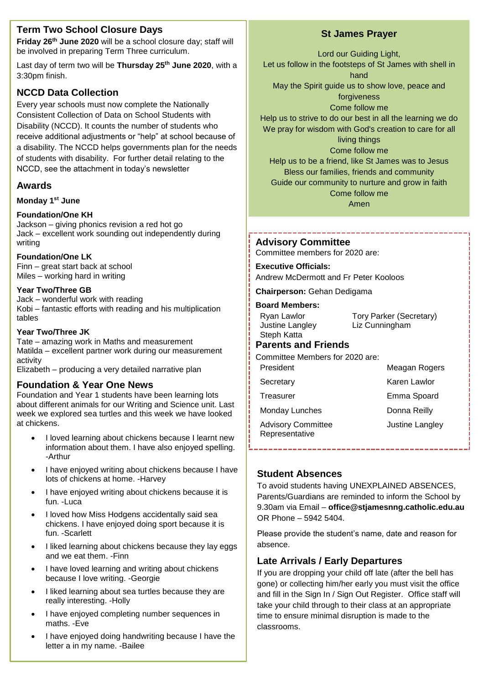## **Term Two School Closure Days**

**Friday 26th June 2020** will be a school closure day; staff will be involved in preparing Term Three curriculum.

Last day of term two will be **Thursday 25th June 2020**, with a 3:30pm finish.

## **NCCD Data Collection**

Every year schools must now complete the Nationally Consistent Collection of Data on School Students with Disability (NCCD). It counts the number of students who receive additional adjustments or "help" at school because of a disability. The NCCD helps governments plan for the needs of students with disability. For further detail relating to the NCCD, see the attachment in today's newsletter

## **Awards**

## **Monday 1 st June**

## **Foundation/One KH**

Jackson – giving phonics revision a red hot go Jack – excellent work sounding out independently during writing

#### **Foundation/One LK**

Finn – great start back at school Miles – working hard in writing

## **Year Two/Three GB**

Jack – wonderful work with reading Kobi – fantastic efforts with reading and his multiplication tables

#### **Year Two/Three JK**

Tate – amazing work in Maths and measurement Matilda – excellent partner work during our measurement activity

Elizabeth – producing a very detailed narrative plan

## **Foundation & Year One News**

Foundation and Year 1 students have been learning lots about different animals for our Writing and Science unit. Last week we explored sea turtles and this week we have looked at chickens.

- I loved learning about chickens because I learnt new information about them. I have also enjoyed spelling. -Arthur
- I have enjoyed writing about chickens because I have lots of chickens at home. -Harvey
- I have enjoyed writing about chickens because it is fun. -Luca
- I loved how Miss Hodgens accidentally said sea chickens. I have enjoyed doing sport because it is fun. -Scarlett
- I liked learning about chickens because they lay eggs and we eat them. -Finn
- I have loved learning and writing about chickens because I love writing. -Georgie
- I liked learning about sea turtles because they are really interesting. -Holly
- I have enjoyed completing number sequences in maths. -Eve
- I have enjoyed doing handwriting because I have the letter a in my name. -Bailee

## **St James Prayer**

Lord our Guiding Light, Let us follow in the footsteps of St James with shell in hand May the Spirit guide us to show love, peace and forgiveness Come follow me Help us to strive to do our best in all the learning we do We pray for wisdom with God's creation to care for all living things Come follow me Help us to be a friend, like St James was to Jesus Bless our families, friends and community Guide our community to nurture and grow in faith Come follow me

Amen

## **Advisory Committee**

Committee members for 2020 are:

#### **Executive Officials:**

Andrew McDermott and Fr Peter Kooloos

**Chairperson:** Gehan Dedigama

#### **Board Members:**

| Ryan Lawlor     | <b>Tory Parker (Secretary)</b> |
|-----------------|--------------------------------|
| Justine Langley | Liz Cunningham                 |
| Steph Katta     |                                |

## **Parents and Friends**

Committee Members for 2020 are:

President Meagan Rogers

Secretary **Karen Lawlor** 

Treasurer **Emma** Spoard

Monday Lunches Donna Reilly

Justine Langley

Advisory Committee Representative

## **Student Absences**

To avoid students having UNEXPLAINED ABSENCES, Parents/Guardians are reminded to inform the School by 9.30am via Email – **office@stjamesnng.catholic.edu.au** OR Phone – 5942 5404.

Please provide the student's name, date and reason for absence.

## **Late Arrivals / Early Departures**

time to ensure minimal disruption is made to the classrooms If you are dropping your child off late (after the bell has gone) or collecting him/her early you must visit the office and fill in the Sign In / Sign Out Register. Office staff will take your child through to their class at an appropriate classrooms.